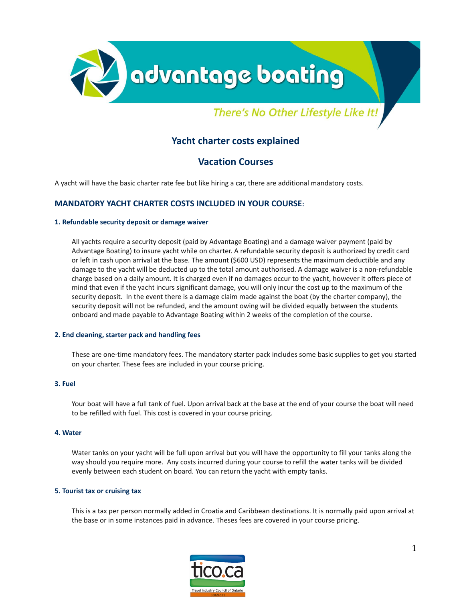

# There's No Other Lifestyle Like It!

# **Yacht charter costs explained**

# **Vacation Courses**

A yacht will have the basic charter rate fee but like hiring a car, there are additional mandatory costs.

# **MANDATORY YACHT CHARTER COSTS INCLUDED IN YOUR COURSE:**

#### **1. Refundable security deposit or damage waiver**

All yachts require a security deposit (paid by Advantage Boating) and a damage waiver payment (paid by Advantage Boating) to insure yacht while on charter. A refundable security deposit is authorized by credit card or left in cash upon arrival at the base. The amount (\$600 USD) represents the maximum deductible and any damage to the yacht will be deducted up to the total amount authorised. A damage waiver is a non-refundable charge based on a daily amount. It is charged even if no damages occur to the yacht, however it offers piece of mind that even if the yacht incurs significant damage, you will only incur the cost up to the maximum of the security deposit. In the event there is a damage claim made against the boat (by the charter company), the security deposit will not be refunded, and the amount owing will be divided equally between the students onboard and made payable to Advantage Boating within 2 weeks of the completion of the course.

#### **2. End cleaning, starter pack and handling fees**

These are one-time mandatory fees. The mandatory starter pack includes some basic supplies to get you started on your charter. These fees are included in your course pricing.

## **3. Fuel**

Your boat will have a full tank of fuel. Upon arrival back at the base at the end of your course the boat will need to be refilled with fuel. This cost is covered in your course pricing.

#### **4. Water**

Water tanks on your yacht will be full upon arrival but you will have the opportunity to fill your tanks along the way should you require more. Any costs incurred during your course to refill the water tanks will be divided evenly between each student on board. You can return the yacht with empty tanks.

#### **5. Tourist tax or cruising tax**

This is a tax per person normally added in Croatia and Caribbean destinations. It is normally paid upon arrival at the base or in some instances paid in advance. Theses fees are covered in your course pricing.

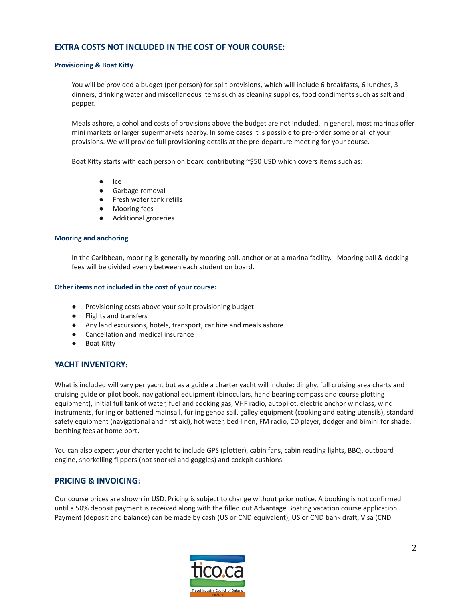# **EXTRA COSTS NOT INCLUDED IN THE COST OF YOUR COURSE:**

#### **Provisioning & Boat Kitty**

You will be provided a budget (per person) for split provisions, which will include 6 breakfasts, 6 lunches, 3 dinners, drinking water and miscellaneous items such as cleaning supplies, food condiments such as salt and pepper.

Meals ashore, alcohol and costs of provisions above the budget are not included. In general, most marinas offer mini markets or larger supermarkets nearby. In some cases it is possible to pre-order some or all of your provisions. We will provide full provisioning details at the pre-departure meeting for your course.

Boat Kitty starts with each person on board contributing ~\$50 USD which covers items such as:

- Ice
- Garbage removal
- Fresh water tank refills
- Mooring fees
- Additional groceries

#### **Mooring and anchoring**

In the Caribbean, mooring is generally by mooring ball, anchor or at a marina facility. Mooring ball & docking fees will be divided evenly between each student on board.

#### **Other items not included in the cost of your course:**

- Provisioning costs above your split provisioning budget
- Flights and transfers
- Any land excursions, hotels, transport, car hire and meals ashore
- Cancellation and medical insurance
- Boat Kitty

### **YACHT INVENTORY:**

What is included will vary per yacht but as a guide a charter yacht will include: dinghy, full cruising area charts and cruising guide or pilot book, navigational equipment (binoculars, hand bearing compass and course plotting equipment), initial full tank of water, fuel and cooking gas, VHF radio, autopilot, electric anchor windlass, wind instruments, furling or battened mainsail, furling genoa sail, galley equipment (cooking and eating utensils), standard safety equipment (navigational and first aid), hot water, bed linen, FM radio, CD player, dodger and bimini for shade, berthing fees at home port.

You can also expect your charter yacht to include GPS (plotter), cabin fans, cabin reading lights, BBQ, outboard engine, snorkelling flippers (not snorkel and goggles) and cockpit cushions.

## **PRICING & INVOICING:**

Our course prices are shown in USD. Pricing is subject to change without prior notice. A booking is not confirmed until a 50% deposit payment is received along with the filled out Advantage Boating vacation course application. Payment (deposit and balance) can be made by cash (US or CND equivalent), US or CND bank draft, Visa (CND